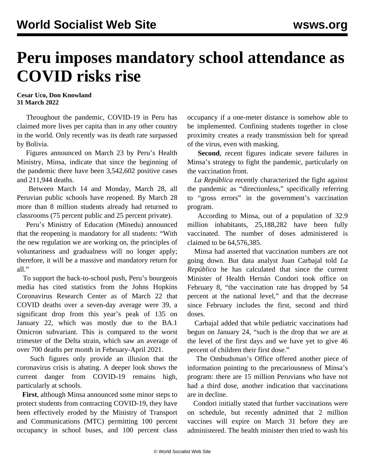## **Peru imposes mandatory school attendance as COVID risks rise**

## **Cesar Uco, Don Knowland 31 March 2022**

 Throughout the pandemic, COVID-19 in Peru has claimed more lives per capita than in any other country in the world. Only recently was its death rate surpassed by Bolivia.

 Figures announced on March 23 by Peru's Health Ministry, Minsa, indicate that since the beginning of the pandemic there have been 3,542,602 positive cases and 211,944 deaths.

 Between March 14 and Monday, March 28, all Peruvian public schools have reopened. By March 28 more than 8 million students already had returned to classrooms (75 percent public and 25 percent private).

 Peru's Ministry of Education (Minedu) announced that the reopening is mandatory for all students: "With the new regulation we are working on, the principles of voluntariness and gradualness will no longer apply; therefore, it will be a massive and mandatory return for all."

 To support the back-to-school push, Peru's bourgeois media has cited statistics from the Johns Hopkins Coronavirus Research Center as of March 22 that COVID deaths over a seven-day average were 39, a significant drop from this year's peak of 135 on January 22, which was mostly due to the BA.1 Omicron subvariant. This is compared to the worst trimester of the Delta strain, which saw an average of over 700 deaths per month in February-April 2021.

 Such figures only provide an illusion that the coronavirus crisis is abating. A deeper look shows the current danger from COVID-19 remains high, particularly at schools.

 **First**, although Minsa announced some minor steps to protect students from contracting COVID-19, they have been effectively eroded by the Ministry of Transport and Communications (MTC) permitting 100 percent occupancy in school buses, and 100 percent class

occupancy if a one-meter distance is somehow able to be implemented. Confining students together in close proximity creates a ready transmission belt for spread of the virus, even with masking.

 **Second**, recent figures indicate severe failures in Minsa's strategy to fight the pandemic, particularly on the vaccination front.

 *La República* recently characterized the fight against the pandemic as "directionless," specifically referring to "gross errors" in the government's vaccination program.

 According to Minsa, out of a population of 32.9 million inhabitants, 25,188,282 have been fully vaccinated. The number of doses administered is claimed to be 64,576,385.

 Minsa had asserted that vaccination numbers are not going down. But data analyst Juan Carbajal told *La República* he has calculated that since the current Minister of Health Hernán Condori took office on February 8, "the vaccination rate has dropped by 54 percent at the national level," and that the decrease since February includes the first, second and third doses.

 Carbajal added that while pediatric vaccinations had begun on January 24, "such is the drop that we are at the level of the first days and we have yet to give 46 percent of children their first dose."

 The Ombudsman's Office offered another piece of information pointing to the precariousness of Minsa's program: there are 15 million Peruvians who have not had a third dose, another indication that vaccinations are in decline.

 Condori initially stated that further vaccinations were on schedule, but recently admitted that 2 million vaccines will expire on March 31 before they are administered. The health minister then tried to wash his